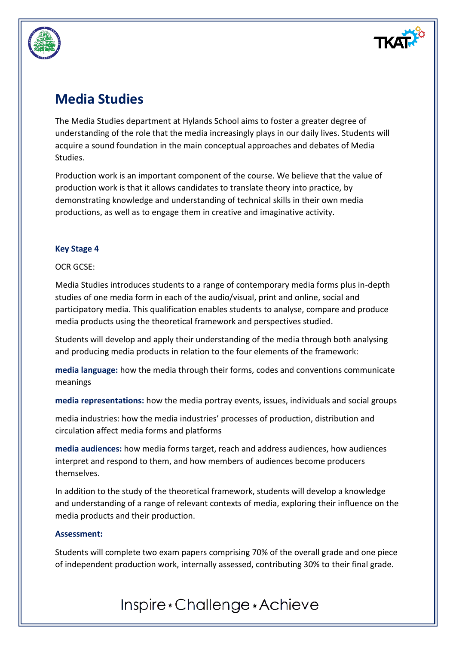

## **Media Studies**

The Media Studies department at Hylands School aims to foster a greater degree of understanding of the role that the media increasingly plays in our daily lives. Students will acquire a sound foundation in the main conceptual approaches and debates of Media Studies.

Production work is an important component of the course. We believe that the value of production work is that it allows candidates to translate theory into practice, by demonstrating knowledge and understanding of technical skills in their own media productions, as well as to engage them in creative and imaginative activity.

### **Key Stage 4**

### OCR GCSE:

Media Studies introduces students to a range of contemporary media forms plus in-depth studies of one media form in each of the audio/visual, print and online, social and participatory media. This qualification enables students to analyse, compare and produce media products using the theoretical framework and perspectives studied.

Students will develop and apply their understanding of the media through both analysing and producing media products in relation to the four elements of the framework:

**media language:** how the media through their forms, codes and conventions communicate meanings

**media representations:** how the media portray events, issues, individuals and social groups

media industries: how the media industries' processes of production, distribution and circulation affect media forms and platforms

**media audiences:** how media forms target, reach and address audiences, how audiences interpret and respond to them, and how members of audiences become producers themselves.

In addition to the study of the theoretical framework, students will develop a knowledge and understanding of a range of relevant contexts of media, exploring their influence on the media products and their production.

### **Assessment:**

Students will complete two exam papers comprising 70% of the overall grade and one piece of independent production work, internally assessed, contributing 30% to their final grade.

# Inspire \* Challenge \* Achieve